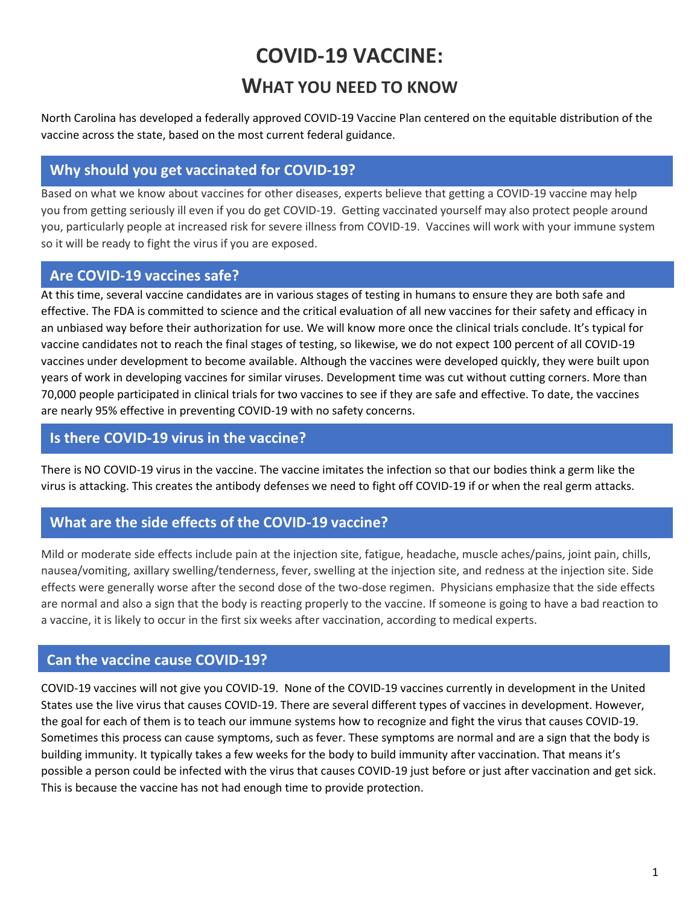# **COVID-19 VACCINE:**

# **WHAT YOU NEED TO KNOW**

North Carolina has developed a federally approved COVID-19 Vaccine Plan centered on the equitable distribution of the vaccine across the state, based on the most current federal guidance.

# **Why should you get vaccinated for COVID-19?**

Based on what we know about vaccines for other diseases, experts believe that getting a COVID-19 vaccine may help you from getting seriously ill even if you do get COVID-19. Getting vaccinated yourself may also protect people around you, particularly people at increased risk for severe illness from COVID-19. Vaccines will work with your immune system so it will be ready to fight the virus if you are exposed.

# **Are COVID-19 vaccines safe?**

At this time, several vaccine candidates are in various stages of testing in humans to ensure they are both safe and effective. The FDA is committed to science and the critical evaluation of all new vaccines for their safety and efficacy in an unbiased way before their authorization for use. We will know more once the clinical trials conclude. It's typical for vaccine candidates not to reach the final stages of testing, so likewise, we do not expect 100 percent of all COVID-19 vaccines under development to become available. Although the vaccines were developed quickly, they were built upon years of work in developing vaccines for similar viruses. Development time was cut without cutting corners. More than 70,000 people participated in clinical trials for two vaccines to see if they are safe and effective. To date, the vaccines are nearly 95% effective in preventing COVID-19 with no safety concerns.

### **Is there COVID-19 virus in the vaccine?**

There is NO COVID-19 virus in the vaccine. The vaccine imitates the infection so that our bodies think a germ like the virus is attacking. This creates the antibody defenses we need to fight off COVID-19 if or when the real germ attacks.

# **What are the side effects of the COVID-19 vaccine?**

[Mild or moderate side effects](https://www.usatoday.com/story/news/health/2020/11/30/moderna-emergency-fda-authorization-covid-19-vaccine-pfizer/6376336002/) include pain at the injection site, fatigue, headache, muscle aches/pains, joint pain, chills, nausea/vomiting, axillary swelling/tenderness, fever, swelling at the injection site, and redness at the injection site. Side effects were generally worse after the second dose of the two-dose regimen. Physicians emphasize that the side effects are normal and also a sign that the body is reacting properly to the vaccine. If someone is going to have a bad reaction to a vaccine, it is likely to occur in the first six weeks after vaccination, according to medical experts.

#### **Can the vaccine cause COVID-19?**

COVID-19 vaccines will not give you COVID-19. None of the COVID-19 vaccines currently in development in the United States use the live virus that causes COVID-19. There are several different types of vaccines in development. However, the goal for each of them is to teach our immune systems how to recognize and fight the virus that causes COVID-19. Sometimes this process can cause symptoms, such as fever. These symptoms are normal and are a sign that the body is building immunity. It typically takes a few weeks for the body to build immunity after vaccination. That means it's possible a person could be infected with the virus that causes COVID-19 just before or just after vaccination and get sick. This is because the vaccine has not had enough time to provide protection.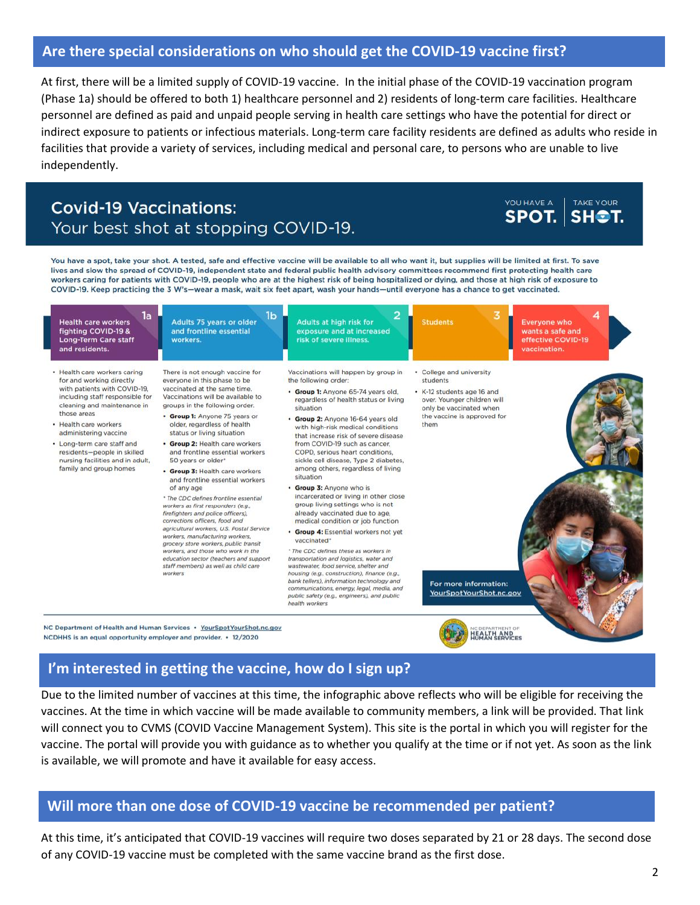#### **Are there special considerations on who should get the COVID-19 vaccine first?**

At first, there will be a limited supply of COVID-19 vaccine. In the initial phase of the COVID-19 vaccination program (Phase 1a) should be offered to both 1) healthcare personnel and 2) residents of long-term care facilities. Healthcare personnel are defined as paid and unpaid people serving in health care settings who have the potential for direct or indirect exposure to patients or infectious materials. Long-term care facility residents are defined as adults who reside in facilities that provide a variety of services, including medical and personal care, to persons who are unable to live independently.

# **Covid-19 Vaccinations:** Your best shot at stopping COVID-19.

YOU HAVE A TAKE YOUR SPOT. SH<sup>®</sup>T.

You have a spot, take your shot. A tested, safe and effective vaccine will be available to all who want it, but supplies will be limited at first. To save lives and slow the spread of COVID-19, independent state and federal public health advisory committees recommend first protecting health care workers caring for patients with COVID-19, people who are at the highest risk of being hospitalized or dying, and those at high risk of exposure to COVID-19. Keep practicing the 3 W's-wear a mask, wait six feet apart, wash your hands-until everyone has a chance to get vaccinated.



#### **I'm interested in getting the vaccine, how do I sign up?**

Due to the limited number of vaccines at this time, the infographic above reflects who will be eligible for receiving the vaccines. At the time in which vaccine will be made available to community members, a link will be provided. That link will connect you to CVMS (COVID Vaccine Management System). This site is the portal in which you will register for the vaccine. The portal will provide you with guidance as to whether you qualify at the time or if not yet. As soon as the link is available, we will promote and have it available for easy access.

#### **Will more than one dose of COVID-19 vaccine be recommended per patient?**

At this time, it's anticipated that COVID-19 vaccines will require two doses separated by 21 or 28 days. The second dose of any COVID-19 vaccine must be completed with the same vaccine brand as the first dose.